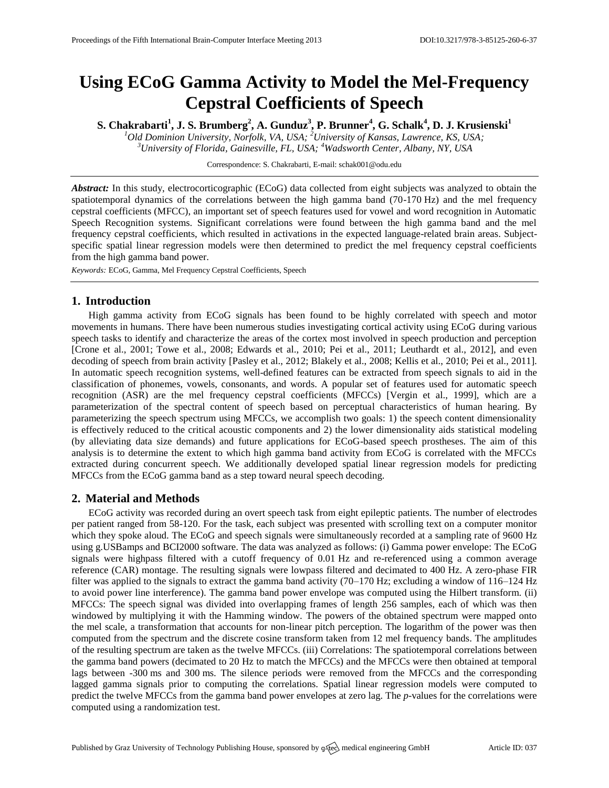# **Using ECoG Gamma Activity to Model the Mel-Frequency Cepstral Coefficients of Speech**

**S. Chakrabarti<sup>1</sup> , J. S. Brumberg<sup>2</sup> , A. Gunduz<sup>3</sup> , P. Brunner<sup>4</sup> , G. Schalk<sup>4</sup> , D. J. Krusienski<sup>1</sup>**

*<sup>1</sup>Old Dominion University, Norfolk, VA, USA; <sup>2</sup>University of Kansas, Lawrence, KS, USA; <sup>3</sup>University of Florida, Gainesville, FL, USA; <sup>4</sup>Wadsworth Center, Albany, NY, USA*

Correspondence: S. Chakrabarti, E-mail[: schak001@odu.edu](mailto:schak001@odu.edu)

*Abstract:* In this study, electrocorticographic (ECoG) data collected from eight subjects was analyzed to obtain the spatiotemporal dynamics of the correlations between the high gamma band (70-170 Hz) and the mel frequency cepstral coefficients (MFCC), an important set of speech features used for vowel and word recognition in Automatic Speech Recognition systems. Significant correlations were found between the high gamma band and the mel frequency cepstral coefficients, which resulted in activations in the expected language-related brain areas. Subjectspecific spatial linear regression models were then determined to predict the mel frequency cepstral coefficients from the high gamma band power.

*Keywords:* ECoG, Gamma, Mel Frequency Cepstral Coefficients, Speech

## **1. Introduction**

High gamma activity from ECoG signals has been found to be highly correlated with speech and motor movements in humans. There have been numerous studies investigating cortical activity using ECoG during various speech tasks to identify and characterize the areas of the cortex most involved in speech production and perception [Crone et al., 2001; Towe et al., 2008; Edwards et al., 2010; Pei et al., 2011; Leuthardt et al., 2012], and even decoding of speech from brain activity [Pasley et al., 2012; Blakely et al., 2008; Kellis et al., 2010; Pei et al., 2011]. In automatic speech recognition systems, well-defined features can be extracted from speech signals to aid in the classification of phonemes, vowels, consonants, and words. A popular set of features used for automatic speech recognition (ASR) are the mel frequency cepstral coefficients (MFCCs) [Vergin et al., 1999], which are a parameterization of the spectral content of speech based on perceptual characteristics of human hearing. By parameterizing the speech spectrum using MFCCs, we accomplish two goals: 1) the speech content dimensionality is effectively reduced to the critical acoustic components and 2) the lower dimensionality aids statistical modeling (by alleviating data size demands) and future applications for ECoG-based speech prostheses. The aim of this analysis is to determine the extent to which high gamma band activity from ECoG is correlated with the MFCCs extracted during concurrent speech. We additionally developed spatial linear regression models for predicting MFCCs from the ECoG gamma band as a step toward neural speech decoding.

## **2. Material and Methods**

ECoG activity was recorded during an overt speech task from eight epileptic patients. The number of electrodes per patient ranged from 58-120. For the task, each subject was presented with scrolling text on a computer monitor which they spoke aloud. The ECoG and speech signals were simultaneously recorded at a sampling rate of 9600 Hz using g.USBamps and BCI2000 software. The data was analyzed as follows: (i) Gamma power envelope: The ECoG signals were highpass filtered with a cutoff frequency of 0.01 Hz and re-referenced using a common average reference (CAR) montage. The resulting signals were lowpass filtered and decimated to 400 Hz. A zero-phase FIR filter was applied to the signals to extract the gamma band activity (70–170 Hz; excluding a window of 116–124 Hz to avoid power line interference). The gamma band power envelope was computed using the Hilbert transform. (ii) MFCCs: The speech signal was divided into overlapping frames of length 256 samples, each of which was then windowed by multiplying it with the Hamming window. The powers of the obtained spectrum were mapped onto the mel scale, a transformation that accounts for non-linear pitch perception. The logarithm of the power was then computed from the spectrum and the discrete cosine transform taken from 12 mel frequency bands. The amplitudes of the resulting spectrum are taken as the twelve MFCCs. (iii) Correlations: The spatiotemporal correlations between the gamma band powers (decimated to 20 Hz to match the MFCCs) and the MFCCs were then obtained at temporal lags between -300 ms and 300 ms. The silence periods were removed from the MFCCs and the corresponding lagged gamma signals prior to computing the correlations. Spatial linear regression models were computed to predict the twelve MFCCs from the gamma band power envelopes at zero lag. The *p*-values for the correlations were computed using a randomization test.